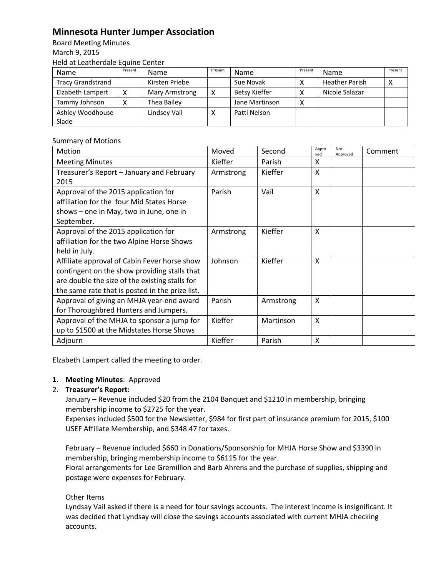## **Minnesota Hunter Jumper Association**

Board Meeting Minutes March 9, 2015 Held at Leatherdale Equine Center

| Name                     | Present | <b>Name</b>    | Present | <b>Name</b>          | Present | Name                  | Present |
|--------------------------|---------|----------------|---------|----------------------|---------|-----------------------|---------|
| <b>Tracy Grandstrand</b> |         | Kirsten Priebe |         | Sue Novak            |         | <b>Heather Parish</b> |         |
| Elzabeth Lampert         |         | Mary Armstrong | v       | <b>Betsy Kieffer</b> |         | Nicole Salazar        |         |
| Tammy Johnson            |         | Thea Bailey    |         | Jane Martinson       |         |                       |         |
| Ashley Woodhouse         |         | Lindsey Vail   |         | Patti Nelson         |         |                       |         |
| Slade                    |         |                |         |                      |         |                       |         |

## Summary of Motions

| Motion                                          | Moved     | Second    | Appro<br>ved | Not<br>Approved | Comment |
|-------------------------------------------------|-----------|-----------|--------------|-----------------|---------|
| <b>Meeting Minutes</b>                          | Kieffer   | Parish    | x            |                 |         |
| Treasurer's Report - January and February       | Armstrong | Kieffer   | X            |                 |         |
| 2015                                            |           |           |              |                 |         |
| Approval of the 2015 application for            | Parish    | Vail      | X            |                 |         |
| affiliation for the four Mid States Horse       |           |           |              |                 |         |
| shows - one in May, two in June, one in         |           |           |              |                 |         |
| September.                                      |           |           |              |                 |         |
| Approval of the 2015 application for            | Armstrong | Kieffer   | X            |                 |         |
| affiliation for the two Alpine Horse Shows      |           |           |              |                 |         |
| held in July.                                   |           |           |              |                 |         |
| Affiliate approval of Cabin Fever horse show    | Johnson   | Kieffer   | X            |                 |         |
| contingent on the show providing stalls that    |           |           |              |                 |         |
| are double the size of the existing stalls for  |           |           |              |                 |         |
| the same rate that is posted in the prize list. |           |           |              |                 |         |
| Approval of giving an MHJA year-end award       | Parish    | Armstrong | X            |                 |         |
| for Thoroughbred Hunters and Jumpers.           |           |           |              |                 |         |
| Approval of the MHJA to sponsor a jump for      | Kieffer   | Martinson | X            |                 |         |
| up to \$1500 at the Midstates Horse Shows       |           |           |              |                 |         |
| Adjourn                                         | Kieffer   | Parish    | X            |                 |         |

Elzabeth Lampert called the meeting to order.

## **1. Meeting Minutes**: Approved

## 2. **Treasurer's Report:**

January – Revenue included \$20 from the 2104 Banquet and \$1210 in membership, bringing membership income to \$2725 for the year.

Expenses included \$500 for the Newsletter, \$984 for first part of insurance premium for 2015, \$100 USEF Affiliate Membership, and \$348.47 for taxes.

February – Revenue included \$660 in Donations/Sponsorship for MHJA Horse Show and \$3390 in membership, bringing membership income to \$6115 for the year.

Floral arrangements for Lee Gremillion and Barb Ahrens and the purchase of supplies, shipping and postage were expenses for February.

Other Items

Lyndsay Vail asked if there is a need for four savings accounts. The interest income is insignificant. It was decided that Lyndsay will close the savings accounts associated with current MHJA checking accounts.